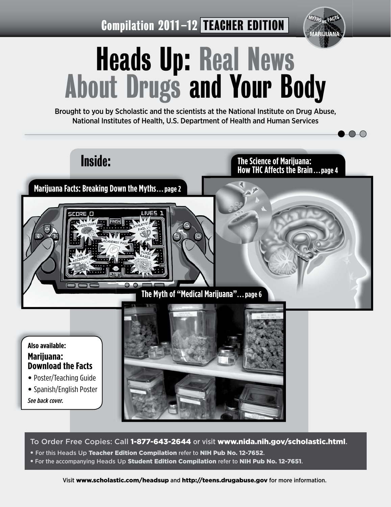Compilation 2011-12 TEACHER EDITION



# Heads Up: Real News About Drugs and Your Body

Brought to you by Scholastic and the scientists at the National Institute on Drug Abuse, National Institutes of Health, U.S. Department of Health and Human Services



To Order Free Copies: Call 1-877-643-2644 or visit www.nida.nih.gov/scholastic.html.

- For this Heads Up Teacher Edition Compilation refer to NIH Pub No. 12-7652.
- **For the accompanying Heads Up Student Edition Compilation refer to NIH Pub No. 12-7651.**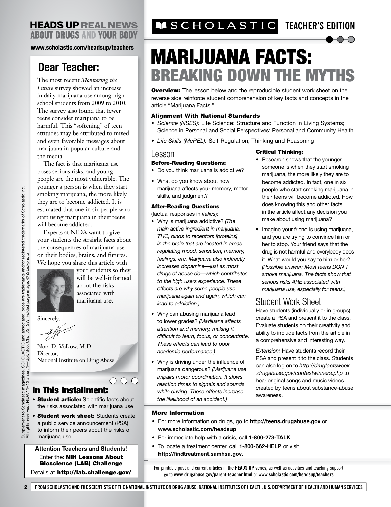### **HEADS UP REAL NEWS ABOUT DRUGS AND YOUR BODY**

**www.scholastic.com/headsup/teachers**

# **Dear Teacher:**

The most recent *Monitoring the Future* survey showed an increase in daily marijuana use among high school students from 2009 to 2010. The survey also found that fewer teens consider marijuana to be harmful. This "softening" of teen attitudes may be attributed to mixed and even favorable messages about marijuana in popular culture and the media.

The fact is that marijuana use poses serious risks, and young people are the most vulnerable. The younger a person is when they start smoking marijuana, the more likely they are to become addicted. It is estimated that one in six people who start using marijuana in their teens will become addicted.

Experts at NIDA want to give your students the straight facts about the consequences of marijuana use on their bodies, brains, and futures. We hope you share this article with



your students so they will be well-informed about the risks associated with marijuana use.

 $\bigcirc\hspace{-0.75mm}\to\hspace{-0.75mm}\circ$ 

Sincerely,

Nora D. Volkow, M.D. Director. National Institute on Drug Abuse

### In This Installment:

- Student article: Scientific facts about the risks associated with marijuana use
- Student work sheet: Students create a public service announcement (PSA) to inform their peers about the risks of marijuana use.

**Attention Teachers and Students!**  Enter the: **NIH Lessons About** Bioscience (LAB) Challenge Details at http://lab.challenge.gov/

# **TEACHER'S EDITION**

# MARIJUANA FACTS: BREAKING DOWN THE MYTHS

**Overview:** The lesson below and the reproducible student work sheet on the reverse side reinforce student comprehension of key facts and concepts in the article "Marijuana Facts."

#### Alignment With National Standards

- *Science (NSES):* Life Science: Structure and Function in Living Systems; Science in Personal and Social Perspectives: Personal and Community Health
- *Life Skills (McREL):* Self-Regulation; Thinking and Reasoning

#### Lesson

#### Before-Reading Questions:

- Do you think marijuana is addictive?
- What do you know about how marijuana affects your memory, motor skills, and judgment?

#### After-Reading Questions

(factual responses in *italics*):

- Why is marijuana addictive? *(The main active ingredient in marijuana, THC, binds to receptors [proteins] in the brain that are located in areas regulating mood, sensation, memory, feelings, etc. Marijuana also indirectly increases dopamine—just as most drugs of abuse do—which contributes to the high users experience. These effects are why some people use marijuana again and again, which can lead to addiction.)*
- Why can abusing marijuana lead to lower grades? *(Marijuana affects attention and memory, making it difficult to learn, focus, or concentrate. These effects can lead to poor academic performance.)*
- Why is driving under the influence of marijuana dangerous? *(Marijuana use impairs motor coordination. It slows reaction times to signals and sounds while driving. These effects increase the likelihood of an accident.)*

#### Critical Thinking:

- Research shows that the younger someone is when they start smoking marijuana, the more likely they are to become addicted. In fact, one in six people who start smoking marijuana in their teens will become addicted. How does knowing this and other facts in the article affect any decision you make about using marijuana?
- Imagine your friend is using marijuana, and you are trying to convince him or her to stop. Your friend says that the drug is not harmful and everybody does it. What would you say to him or her? *(Possible answer: Most teens DON'T smoke marijuana. The facts show that serious risks ARE associated with marijuana use, especially for teens.)*

### Student Work Sheet

Have students (individually or in groups) create a PSA and present it to the class. Evaluate students on their creativity and ability to include facts from the article in a comprehensive and interesting way.

*Extension:* Have students record their PSA and present it to the class. Students can also log on to *http://drugfactsweek .drugabuse.gov/contestwinners.php* to hear original songs and music videos created by teens about substance-abuse awareness.

#### More Information

- For more information on drugs, go to **http://teens.drugabuse.gov** or **www.scholastic.com/headsup**.
- For immediate help with a crisis, call **1-800-273-TALK**.
- To locate a treatment center, call **1-800-662-HELP** or visit **http://findtreatment.samhsa.gov**.

For printable past and current articles in the **HEADS UP** series, as well as activities and teaching support, go to **www.drugabuse.gov/parent-teacher.html** or **www.scholastic.com/headsup/teachers**.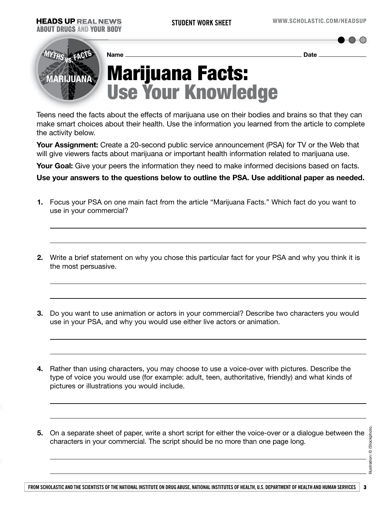**MARIJUANA vs. MYTHS FACTS** Marijuana Facts: Use Your Knowledge **Name Date** 

Teens need the facts about the effects of marijuana use on their bodies and brains so that they can make smart choices about their health. Use the information you learned from the article to complete the activity below.

**Your Assignment:** Create a 20-second public service announcement (PSA) for TV or the Web that will give viewers facts about marijuana or important health information related to marijuana use.

**Your Goal:** Give your peers the information they need to make informed decisions based on facts.

**Use your answers to the questions below to outline the PSA. Use additional paper as needed.**

- **1.** Focus your PSA on one main fact from the article "Marijuana Facts." Which fact do you want to use in your commercial?
- **2.** Write a brief statement on why you chose this particular fact for your PSA and why you think it is the most persuasive.
- **3.** Do you want to use animation or actors in your commercial? Describe two characters you would use in your PSA, and why you would use either live actors or animation.
- **4.** Rather than using characters, you may choose to use a voice-over with pictures. Describe the type of voice you would use (for example: adult, teen, authoritative, friendly) and what kinds of pictures or illustrations you would include.
- **5.** On a separate sheet of paper, write a short script for either the voice-over or a dialogue between the characters in your commercial. The script should be no more than one page long.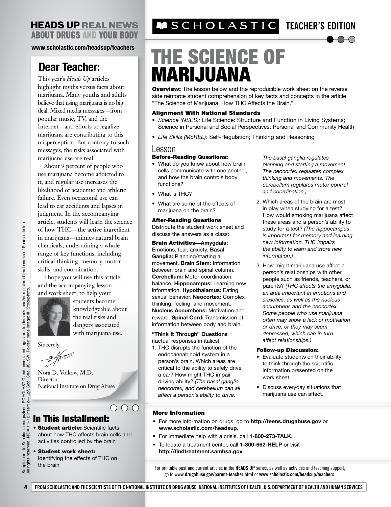### **HEADS UP REAL NEWS ABOUT DRUGS AND YOUR BODY**

**www.scholastic.com/headsup/teachers**

# **Dear Teacher:**

This year's *Heads Up* articles highlight myths versus facts about marijuana. Many youths and adults believe that using marijuana is no big deal. Mixed media messages—from popular music, TV, and the Internet—and efforts to legalize marijuana are contributing to this misperception. But contrary to such messages, the risks associated with marijuana use are real.

About 9 percent of people who use marijuana become addicted to it, and regular use increases the likelihood of academic and athletic failure. Even occasional use can lead to car accidents and lapses in judgment. In the accompanying article, students will learn the science of how THC—the active ingredient in marijuana—mimics natural brain chemicals, undermining a whole range of key functions, including critical thinking, memory, motor skills, and coordination.

I hope you will use this article, and the accompanying lesson and work sheet, to help your



students become knowledgeable about the real risks and dangers associated with marijuana use.

Sincerely,

Nora D. Volkow, M.D. Director, National Institute on Drug Abuse

### In This Installment:

- Student article: Scientific facts about how THC affects brain cells and activities controlled by the brain
- Student work sheet: Identifying the effects of THC on

# **TEACHER'S EDITION**

# THE SCIENCE OF MARIJUANA

**Overview:** The lesson below and the reproducible work sheet on the reverse side reinforce student comprehension of key facts and concepts in the article "The Science of Marijuana: How THC Affects the Brain."

#### Alignment With National Standards

- *Science (NSES):* Life Science: Structure and Function in Living Systems; Science in Personal and Social Perspectives: Personal and Community Health
- *Life Skills (McREL):* Self-Regulation; Thinking and Reasoning

#### Lesson

#### Before-Reading Questions:

- What do you know about how brain cells communicate with one another, and how the brain controls body functions?
- What is THC?
- What are some of the effects of marijuana on the brain?

#### After-Reading Questions

Distribute the student work sheet and discuss the answers as a class:

Brain Activities—**Amygdala:** Emotions, fear, anxiety. **Basal Ganglia:** Planning/starting a movement. **Brain Stem:** Information between brain and spinal column. **Cerebellum:** Motor coordination, balance. **Hippocampus:** Learning new information. **Hypothalamus:** Eating, sexual behavior. **Neocortex:** Complex thinking, feeling, and movement. **Nucleus Accumbens:** Motivation and reward. **Spinal Cord:** Transmission of information between body and brain.

**"Think It Through" Questions** (factual responses in italics):

1. THC disrupts the function of the endocannabinoid system in a person's brain. Which areas are critical to the ability to safely drive a car? How might THC impair driving ability? *(The basal ganglia, neocortex, and cerebellum can all affect a person's ability to drive.* 

*The basal ganglia regulates planning and starting a movement. The neocortex regulates complex thinking and movements. The cerebellum regulates motor control and coordination.)*

- 2. Which areas of the brain are most in play when studying for a test? How would smoking marijuana affect these areas and a person's ability to study for a test? *(The hippocampus is important for memory and learning new information. THC impairs the ability to learn and store new information.)*
- 3. How might marijuana use affect a person's relationships with other people such as friends, teachers, or parents? *(THC affects the amygdala, an area important in emotions and anxieties, as well as the nucleus accumbens and the neocortex. Some people who use marijuana often may show a lack of motivation or drive, or they may seem depressed, which can in turn affect relationships.)*

#### Follow-up Discussion:

- Evaluate students on their ability to think through the scientific information presented on the work sheet.
- Discuss everyday situations that marijuana use can affect.

#### More Information

- For more information on drugs, go to **http://teens.drugabuse.gov** or **www.scholastic.com/headsup**.
- For immediate help with a crisis, call **1-800-273-TALK**.
- To locate a treatment center, call **1-800-662-HELP** or visit **http://findtreatment.samhsa.gov**.

For printable past and current articles in the **HEADS UP** series, as well as activities and teaching support, go to **www.drugabuse.gov/parent-teacher.html** or **www.scholastic.com/headsup/teachers**.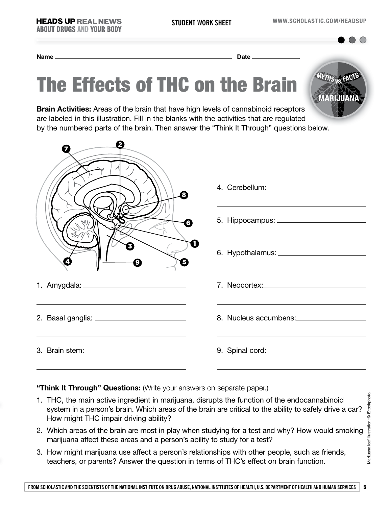**MARIJUANA**

**vs. MYTHS FACTS**

**Name Date** 

# The Effects of THC on the Brain

**Brain Activities:** Areas of the brain that have high levels of cannabinoid receptors are labeled in this illustration. Fill in the blanks with the activities that are regulated by the numbered parts of the brain. Then answer the "Think It Through" questions below.

| の      |                       |
|--------|-----------------------|
| B      |                       |
| G      |                       |
| П<br>Θ |                       |
|        |                       |
|        | 8. Nucleus accumbens: |
|        |                       |

#### **"Think It Through" Questions:** (Write your answers on separate paper.)

- 1. THC, the main active ingredient in marijuana, disrupts the function of the endocannabinoid system in a person's brain. Which areas of the brain are critical to the ability to safely drive a car? How might THC impair driving ability?
- 2. Which areas of the brain are most in play when studying for a test and why? How would smoking marijuana affect these areas and a person's ability to study for a test?
- 3. How might marijuana use affect a person's relationships with other people, such as friends, teachers, or parents? Answer the question in terms of THC's effect on brain function.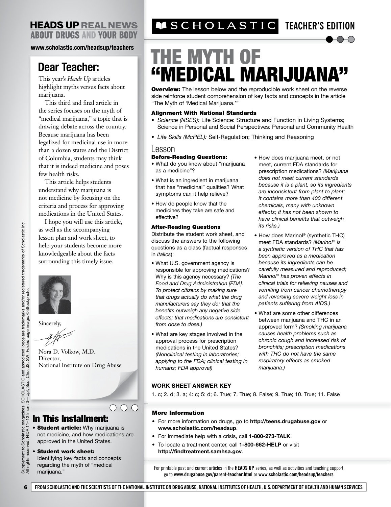### **HEADS UP REAL NEWS ABOUT DRUGS AND YOUR BODY**

**www.scholastic.com/headsup/teachers**

## **Dear Teacher:**

This year's *Heads Up* articles highlight myths versus facts about marijuana.

This third and final article in the series focuses on the myth of "medical marijuana," a topic that is drawing debate across the country. Because marijuana has been legalized for medicinal use in more than a dozen states and the District of Columbia, students may think that it is indeed medicine and poses few health risks.

This article helps students understand why marijuana is not medicine by focusing on the criteria and process for approving medications in the United States.

I hope you will use this article, as well as the accompanying lesson plan and work sheet, to help your students become more knowledgeable about the facts surrounding this timely issue.



Sincerely,

Nora D. Volkow, M.D. Director, National Institute on Drug Abuse

### In This Installment:

**• Student article:** Why marijuana is not medicine, and how medications are approved in the United States.

 $\bigcirc\bigcirc\bigcirc\bigcirc$ 

#### • Student work sheet:

Identifying key facts and concepts regarding the myth of "medical marijuana."

# **TEACHER'S EDITION**

# THE MYTH OF "MEDICAL MARIJUANA"

**Overview:** The lesson below and the reproducible work sheet on the reverse side reinforce student comprehension of key facts and concepts in the article "The Myth of 'Medical Marijuana.'"

#### Alignment With National Standards

- *Science (NSES):* Life Science: Structure and Function in Living Systems; Science in Personal and Social Perspectives: Personal and Community Health
- *Life Skills (McREL):* Self-Regulation; Thinking and Reasoning

#### Lesson

#### Before-Reading Questions:

- What do you know about "marijuana as a medicine"?
- What is an ingredient in marijuana that has "medicinal" qualities? What symptoms can it help relieve?
- How do people know that the medicines they take are safe and effective?

#### After-Reading Questions

Distribute the student work sheet, and discuss the answers to the following questions as a class (factual responses in *italics*):

- What U.S. government agency is responsible for approving medications? Why is this agency necessary? *(The Food and Drug Administration [FDA]. To protect citizens by making sure that drugs actually do what the drug manufacturers say they do; that the benefits outweigh any negative side effects; that medications are consistent from dose to dose.)*
- What are key stages involved in the approval process for prescription medications in the United States? *(Nonclinical testing in laboratories; applying to the FDA; clinical testing in humans; FDA approval)*
- How does marijuana meet, or not meet, current FDA standards for prescription medications? *(Marijuana does not meet current standards because it is a plant, so its ingredients are inconsistent from plant to plant; it contains more than 400 different chemicals, many with unknown effects; it has not been shown to have clinical benefits that outweigh its risks.)*
- How does Marinol® (synthetic THC) meet FDA standards? *(Marinol*® *is a synthetic version of THC that has been approved as a medication because its ingredients can be carefully measured and reproduced; Marinol*® *has proven effects in clinical trials for relieving nausea and vomiting from cancer chemotherapy and reversing severe weight loss in patients suffering from AIDS.)*
- What are some other differences between marijuana and THC in an approved form? *(Smoking marijuana causes health problems such as chronic cough and increased risk of bronchitis; prescription medications with THC do not have the same respiratory effects as smoked marijuana.)*

#### **WORK SHEET ANSWER KEY**

1. c; 2. d; 3. a; 4: c; 5: d; 6. True; 7. True; 8. False; 9. True; 10. True; 11. False

#### More Information

- For more information on drugs, go to **http://teens.drugabuse.gov** or **www.scholastic.com/headsup**.
- For immediate help with a crisis, call **1-800-273-TALK**.
- To locate a treatment center, call **1-800-662-HELP** or visit **http://findtreatment.samhsa.gov**.

For printable past and current articles in the **HEADS UP** series, as well as activities and teaching support, go to **www.drugabuse.gov/parent-teacher.html** or **www.scholastic.com/headsup/teachers**.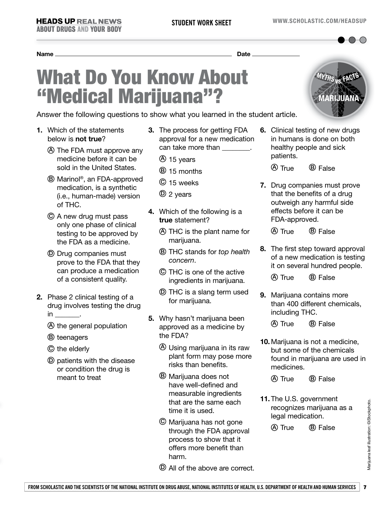**vs. MYTHS FACTS**

```
Name Date
```
# What Do You Know About "Medical Marijuana"?

Answer the following questions to show what you learned in the student article.

- **1.** Which of the statements below is **not true**?
	- A The FDA must approve any medicine before it can be sold in the United States.
	- B Marinol®, an FDA-approved medication, is a synthetic (i.e., human-made) version of THC.
	- C A new drug must pass only one phase of clinical testing to be approved by the FDA as a medicine.
	- D Drug companies must prove to the FDA that they can produce a medication of a consistent quality.
- **2.** Phase 2 clinical testing of a drug involves testing the drug  $in$  \_\_\_\_\_\_\_\_.
	- A the general population
	- B teenagers
	- C the elderly
	- D patients with the disease or condition the drug is meant to treat
- **3.** The process for getting FDA approval for a new medication can take more than  $\qquad \qquad$ .
	- A 15 years
	- B 15 months
	- C 15 weeks
	- D 2 years
- **4.** Which of the following is a **true** statement?
	- A THC is the plant name for marijuana.
	- B THC stands for *top health concern*.
	- C THC is one of the active ingredients in marijuana.
	- D THC is a slang term used for marijuana.
- **5.** Why hasn't marijuana been approved as a medicine by the FDA?
	- A Using marijuana in its raw plant form may pose more risks than benefits.
	- B Marijuana does not have well-defined and measurable ingredients that are the same each time it is used.
	- C Marijuana has not gone through the FDA approval process to show that it offers more benefit than harm.
	- D All of the above are correct.



**6.** Clinical testing of new drugs healthy people and sick patients.

 $(A)$  True  $(B)$  False

**7.** Drug companies must prove that the benefits of a drug outweigh any harmful side effects before it can be FDA-approved.

A True B False

**8.** The first step toward approval of a new medication is testing it on several hundred people.

(A) True (B) False

- **9.** Marijuana contains more than 400 different chemicals, including THC.
	- (A) True (B) False
- **10.** Marijuana is not a medicine, but some of the chemicals found in marijuana are used in medicines.

(A) True (B) False

**11.** The U.S. government recognizes marijuana as a legal medication.

(A) True (B) False